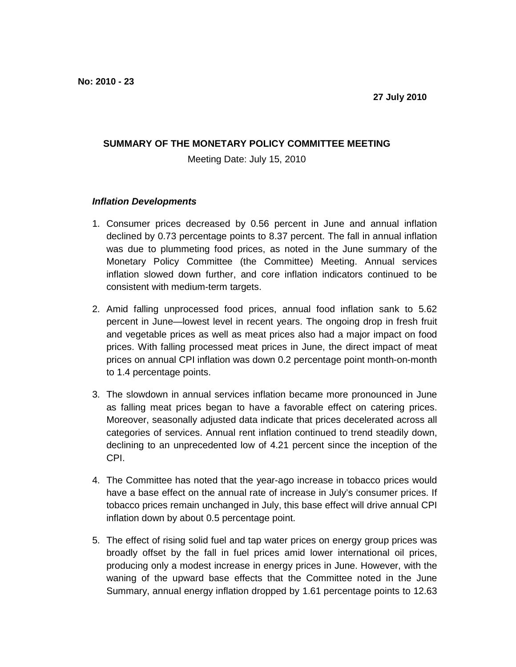## **SUMMARY OF THE MONETARY POLICY COMMITTEE MEETING**

Meeting Date: July 15, 2010

## **Inflation Developments**

- 1. Consumer prices decreased by 0.56 percent in June and annual inflation declined by 0.73 percentage points to 8.37 percent. The fall in annual inflation was due to plummeting food prices, as noted in the June summary of the Monetary Policy Committee (the Committee) Meeting. Annual services inflation slowed down further, and core inflation indicators continued to be consistent with medium-term targets.
- 2. Amid falling unprocessed food prices, annual food inflation sank to 5.62 percent in June—lowest level in recent years. The ongoing drop in fresh fruit and vegetable prices as well as meat prices also had a major impact on food prices. With falling processed meat prices in June, the direct impact of meat prices on annual CPI inflation was down 0.2 percentage point month-on-month to 1.4 percentage points.
- 3. The slowdown in annual services inflation became more pronounced in June as falling meat prices began to have a favorable effect on catering prices. Moreover, seasonally adjusted data indicate that prices decelerated across all categories of services. Annual rent inflation continued to trend steadily down, declining to an unprecedented low of 4.21 percent since the inception of the CPI.
- 4. The Committee has noted that the year-ago increase in tobacco prices would have a base effect on the annual rate of increase in July's consumer prices. If tobacco prices remain unchanged in July, this base effect will drive annual CPI inflation down by about 0.5 percentage point.
- 5. The effect of rising solid fuel and tap water prices on energy group prices was broadly offset by the fall in fuel prices amid lower international oil prices, producing only a modest increase in energy prices in June. However, with the waning of the upward base effects that the Committee noted in the June Summary, annual energy inflation dropped by 1.61 percentage points to 12.63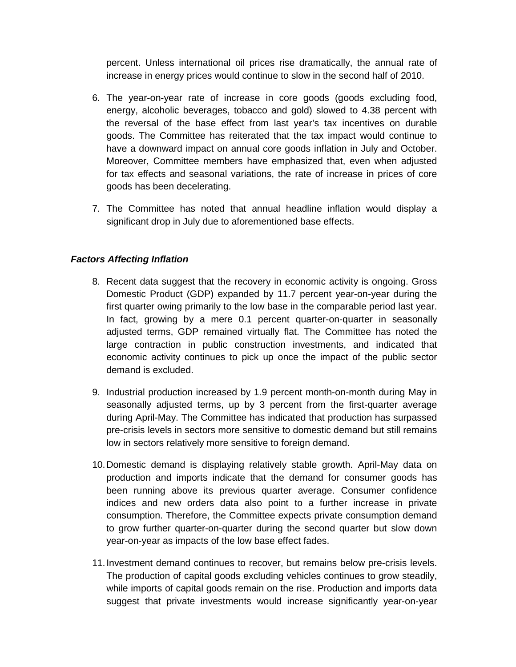percent. Unless international oil prices rise dramatically, the annual rate of increase in energy prices would continue to slow in the second half of 2010.

- 6. The year-on-year rate of increase in core goods (goods excluding food, energy, alcoholic beverages, tobacco and gold) slowed to 4.38 percent with the reversal of the base effect from last year's tax incentives on durable goods. The Committee has reiterated that the tax impact would continue to have a downward impact on annual core goods inflation in July and October. Moreover, Committee members have emphasized that, even when adjusted for tax effects and seasonal variations, the rate of increase in prices of core goods has been decelerating.
- 7. The Committee has noted that annual headline inflation would display a significant drop in July due to aforementioned base effects.

## **Factors Affecting Inflation**

- 8. Recent data suggest that the recovery in economic activity is ongoing. Gross Domestic Product (GDP) expanded by 11.7 percent year-on-year during the first quarter owing primarily to the low base in the comparable period last year. In fact, growing by a mere 0.1 percent quarter-on-quarter in seasonally adjusted terms, GDP remained virtually flat. The Committee has noted the large contraction in public construction investments, and indicated that economic activity continues to pick up once the impact of the public sector demand is excluded.
- 9. Industrial production increased by 1.9 percent month-on-month during May in seasonally adjusted terms, up by 3 percent from the first-quarter average during April-May. The Committee has indicated that production has surpassed pre-crisis levels in sectors more sensitive to domestic demand but still remains low in sectors relatively more sensitive to foreign demand.
- 10. Domestic demand is displaying relatively stable growth. April-May data on production and imports indicate that the demand for consumer goods has been running above its previous quarter average. Consumer confidence indices and new orders data also point to a further increase in private consumption. Therefore, the Committee expects private consumption demand to grow further quarter-on-quarter during the second quarter but slow down year-on-year as impacts of the low base effect fades.
- 11. Investment demand continues to recover, but remains below pre-crisis levels. The production of capital goods excluding vehicles continues to grow steadily, while imports of capital goods remain on the rise. Production and imports data suggest that private investments would increase significantly year-on-year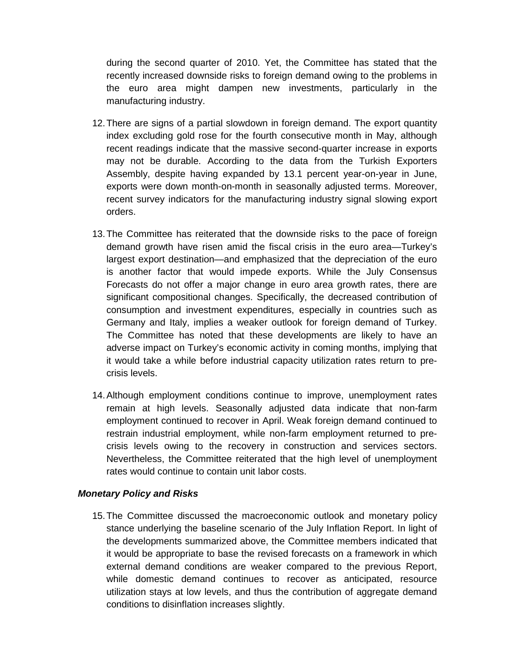during the second quarter of 2010. Yet, the Committee has stated that the recently increased downside risks to foreign demand owing to the problems in the euro area might dampen new investments, particularly in the manufacturing industry.

- 12. There are signs of a partial slowdown in foreign demand. The export quantity index excluding gold rose for the fourth consecutive month in May, although recent readings indicate that the massive second-quarter increase in exports may not be durable. According to the data from the Turkish Exporters Assembly, despite having expanded by 13.1 percent year-on-year in June, exports were down month-on-month in seasonally adjusted terms. Moreover, recent survey indicators for the manufacturing industry signal slowing export orders.
- 13. The Committee has reiterated that the downside risks to the pace of foreign demand growth have risen amid the fiscal crisis in the euro area—Turkey's largest export destination—and emphasized that the depreciation of the euro is another factor that would impede exports. While the July Consensus Forecasts do not offer a major change in euro area growth rates, there are significant compositional changes. Specifically, the decreased contribution of consumption and investment expenditures, especially in countries such as Germany and Italy, implies a weaker outlook for foreign demand of Turkey. The Committee has noted that these developments are likely to have an adverse impact on Turkey's economic activity in coming months, implying that it would take a while before industrial capacity utilization rates return to precrisis levels.
- 14. Although employment conditions continue to improve, unemployment rates remain at high levels. Seasonally adjusted data indicate that non-farm employment continued to recover in April. Weak foreign demand continued to restrain industrial employment, while non-farm employment returned to precrisis levels owing to the recovery in construction and services sectors. Nevertheless, the Committee reiterated that the high level of unemployment rates would continue to contain unit labor costs.

## **Monetary Policy and Risks**

15. The Committee discussed the macroeconomic outlook and monetary policy stance underlying the baseline scenario of the July Inflation Report. In light of the developments summarized above, the Committee members indicated that it would be appropriate to base the revised forecasts on a framework in which external demand conditions are weaker compared to the previous Report, while domestic demand continues to recover as anticipated, resource utilization stays at low levels, and thus the contribution of aggregate demand conditions to disinflation increases slightly.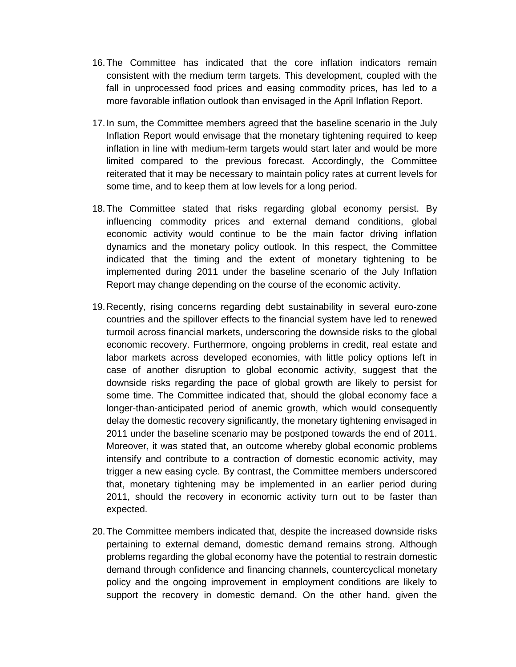- 16. The Committee has indicated that the core inflation indicators remain consistent with the medium term targets. This development, coupled with the fall in unprocessed food prices and easing commodity prices, has led to a more favorable inflation outlook than envisaged in the April Inflation Report.
- 17. In sum, the Committee members agreed that the baseline scenario in the July Inflation Report would envisage that the monetary tightening required to keep inflation in line with medium-term targets would start later and would be more limited compared to the previous forecast. Accordingly, the Committee reiterated that it may be necessary to maintain policy rates at current levels for some time, and to keep them at low levels for a long period.
- 18. The Committee stated that risks regarding global economy persist. By influencing commodity prices and external demand conditions, global economic activity would continue to be the main factor driving inflation dynamics and the monetary policy outlook. In this respect, the Committee indicated that the timing and the extent of monetary tightening to be implemented during 2011 under the baseline scenario of the July Inflation Report may change depending on the course of the economic activity.
- 19. Recently, rising concerns regarding debt sustainability in several euro-zone countries and the spillover effects to the financial system have led to renewed turmoil across financial markets, underscoring the downside risks to the global economic recovery. Furthermore, ongoing problems in credit, real estate and labor markets across developed economies, with little policy options left in case of another disruption to global economic activity, suggest that the downside risks regarding the pace of global growth are likely to persist for some time. The Committee indicated that, should the global economy face a longer-than-anticipated period of anemic growth, which would consequently delay the domestic recovery significantly, the monetary tightening envisaged in 2011 under the baseline scenario may be postponed towards the end of 2011. Moreover, it was stated that, an outcome whereby global economic problems intensify and contribute to a contraction of domestic economic activity, may trigger a new easing cycle. By contrast, the Committee members underscored that, monetary tightening may be implemented in an earlier period during 2011, should the recovery in economic activity turn out to be faster than expected.
- 20. The Committee members indicated that, despite the increased downside risks pertaining to external demand, domestic demand remains strong. Although problems regarding the global economy have the potential to restrain domestic demand through confidence and financing channels, countercyclical monetary policy and the ongoing improvement in employment conditions are likely to support the recovery in domestic demand. On the other hand, given the